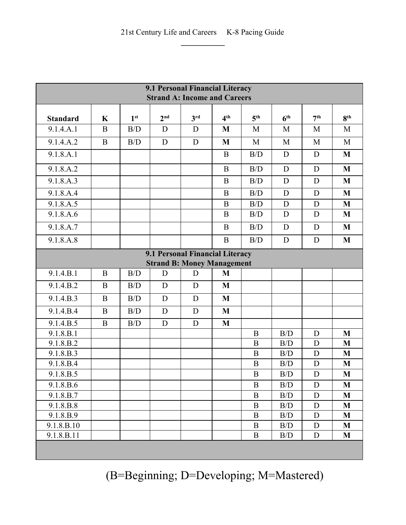| 9.1 Personal Financial Literacy<br><b>Strand A: Income and Careers</b> |             |                 |                                   |                 |                 |                 |                 |                 |                 |  |
|------------------------------------------------------------------------|-------------|-----------------|-----------------------------------|-----------------|-----------------|-----------------|-----------------|-----------------|-----------------|--|
| <b>Standard</b>                                                        | $\mathbf K$ | 1 <sup>st</sup> | 2 <sup>nd</sup>                   | 3 <sup>rd</sup> | 4 <sup>th</sup> | 5 <sup>th</sup> | 6 <sup>th</sup> | 7 <sup>th</sup> | 8 <sup>th</sup> |  |
| 9.1.4.A.1                                                              | B           | B/D             | D                                 | D               | M               | M               | M               | M               | M               |  |
| 9.1.4.A.2                                                              | $\mathbf B$ | B/D             | D                                 | D               | M               | M               | M               | M               | M               |  |
| 9.1.8.A.1                                                              |             |                 |                                   |                 | B               | B/D             | D               | D               | M               |  |
|                                                                        |             |                 |                                   |                 |                 |                 |                 |                 |                 |  |
| 9.1.8.A.2                                                              |             |                 |                                   |                 | $\bf{B}$        | B/D             | $\mathbf D$     | D               | M               |  |
| 9.1.8.A.3                                                              |             |                 |                                   |                 | B               | B/D             | D               | D               | M               |  |
| 9.1.8.A.4                                                              |             |                 |                                   |                 | $\mathbf B$     | B/D             | D               | D               | M               |  |
| 9.1.8.A.5                                                              |             |                 |                                   |                 | B               | B/D             | D               | D               | M               |  |
| 9.1.8.A.6                                                              |             |                 |                                   |                 | $\overline{B}$  | B/D             | $\mathbf D$     | D               | M               |  |
| 9.1.8.A.7                                                              |             |                 |                                   |                 | $\overline{B}$  | B/D             | D               | D               | M               |  |
| 9.1.8.A.8                                                              |             |                 |                                   |                 | $\bf{B}$        | B/D             | $\mathbf D$     | D               | M               |  |
| 9.1 Personal Financial Literacy                                        |             |                 |                                   |                 |                 |                 |                 |                 |                 |  |
|                                                                        |             |                 | <b>Strand B: Money Management</b> |                 |                 |                 |                 |                 |                 |  |
| 9.1.4.B.1                                                              | $\mathbf B$ | B/D             | D                                 | D               | M               |                 |                 |                 |                 |  |
| 9.1.4.B.2                                                              | B           | B/D             | D                                 | D               | M               |                 |                 |                 |                 |  |
| 9.1.4.B.3                                                              | B           | B/D             | D                                 | D               | M               |                 |                 |                 |                 |  |
| 9.1.4.B.4                                                              | B           | B/D             | $\mathbf D$                       | D               | M               |                 |                 |                 |                 |  |
| 9.1.4.B.5                                                              | $\bf{B}$    | B/D             | D                                 | D               | M               |                 |                 |                 |                 |  |
| 9.1.8.B.1                                                              |             |                 |                                   |                 |                 | B               | B/D             | D               | M               |  |
| 9.1.8.B.2                                                              |             |                 |                                   |                 |                 | B               | B/D             | D               | M               |  |
| 9.1.8.B.3                                                              |             |                 |                                   |                 |                 | B               | B/D             | D               | M               |  |
| 9.1.8.B.4                                                              |             |                 |                                   |                 |                 | B               | B/D             | D               | M               |  |
| 9.1.8.B.5                                                              |             |                 |                                   |                 |                 | $\mathbf B$     | B/D             | D               | M               |  |
| 9.1.8.B.6                                                              |             |                 |                                   |                 |                 | $\bf{B}$        | B/D             | D               | M               |  |
| 9.1.8.B.7                                                              |             |                 |                                   |                 |                 | B               | B/D             | D               | M               |  |
| 9.1.8.B.8                                                              |             |                 |                                   |                 |                 | $\bf{B}$        | B/D             | $\mathbf D$     | M               |  |
| 9.1.8.B.9                                                              |             |                 |                                   |                 |                 | B               | B/D             | D               | M               |  |
| 9.1.8.B.10                                                             |             |                 |                                   |                 |                 | $\bf{B}$        | B/D             | D               | $\mathbf{M}$    |  |
| 9.1.8.B.11                                                             |             |                 |                                   |                 |                 | B               | B/D             | D               | M               |  |
|                                                                        |             |                 |                                   |                 |                 |                 |                 |                 |                 |  |

(B=Beginning; D=Developing; M=Mastered)